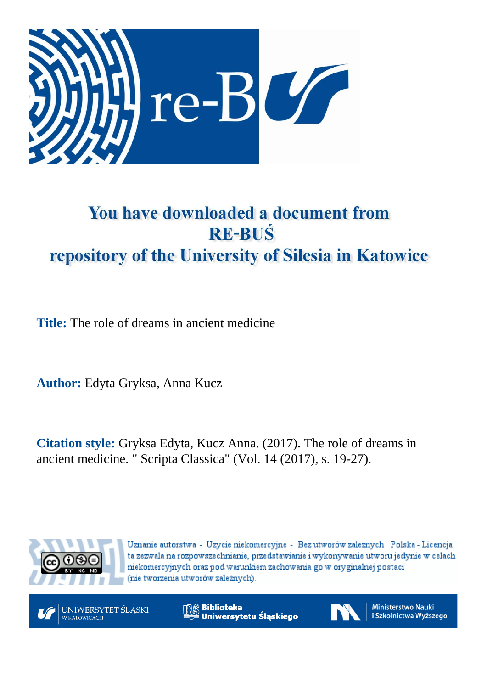

## You have downloaded a document from **RE-BUŚ** repository of the University of Silesia in Katowice

**Title:** The role of dreams in ancient medicine

**Author:** Edyta Gryksa, Anna Kucz

**Citation style:** Gryksa Edyta, Kucz Anna. (2017). The role of dreams in ancient medicine. " Scripta Classica" (Vol. 14 (2017), s. 19-27).



Uznanie autorstwa - Użycie niekomercyjne - Bez utworów zależnych Polska - Licencja ta zezwala na rozpowszechnianie, przedstawianie i wykonywanie utworu jedynie w celach niekomercyjnych oraz pod warunkiem zachowania go w oryginalnej postaci (nie tworzenia utworów zależnych).



**Biblioteka** Uniwersytetu Śląskiego



**Ministerstwo Nauki** i Szkolnictwa Wyższego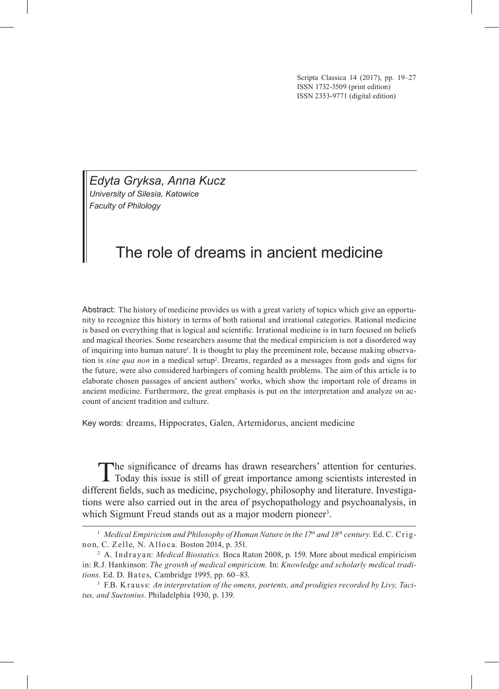Scripta Classica 14 (2017), pp. 19–27 ISSN 1732‑3509 (print edition) ISSN 2353-9771 (digital edition)

*Edyta Gryksa, Anna Kucz University of Silesia, Katowice Faculty of Philology*

## The role of dreams in ancient medicine

Abstract: The history of medicine provides us with a great variety of topics which give an opportunity to recognize this history in terms of both rational and irrational categories. Rational medicine is based on everything that is logical and scientific. Irrational medicine is in turn focused on beliefs and magical theories. Some researchers assume that the medical empiricism is not a disordered way of inquiring into human nature<sup>1</sup>. It is thought to play the preeminent role, because making observation is *sine qua non* in a medical setup2 . Dreams, regarded as a messages from gods and signs for the future, were also considered harbingers of coming health problems. The aim of this article is to elaborate chosen passages of ancient authors' works, which show the important role of dreams in ancient medicine. Furthermore, the great emphasis is put on the interpretation and analyze on ac‑ count of ancient tradition and culture.

Key words: dreams, Hippocrates, Galen, Artemidorus, ancient medicine

The significance of dreams has drawn researchers' attention for centuries. Today this issue is still of great importance among scientists interested in different fields, such as medicine, psychology, philosophy and literature. Investigations were also carried out in the area of psychopathology and psychoanalysis, in which Sigmunt Freud stands out as a major modern pioneer<sup>3</sup>.

<sup>&</sup>lt;sup>1</sup> Medical Empiricism and Philosophy of Human Nature in the 17<sup>th</sup> and 18<sup>th</sup> century. Ed. C. Crignon, C. Zelle, N. Alloca. Boston 2014, p. 351.

<sup>&</sup>lt;sup>2</sup> A. Indrayan: *Medical Biostatics*. Boca Raton 2008, p. 159. More about medical empiricism in: R.J. Hankinson: *The growth of medical empiricism.* In: *Knowledge and scholarly medical traditions.* Ed. D. Bates, Cambridge 1995, pp. 60–83.

<sup>3</sup> F.B. K rauss: *An interpretation of the omens, portents, and prodigies recorded by Livy, Tacitus, and Suetonius*. Philadelphia 1930, p. 139.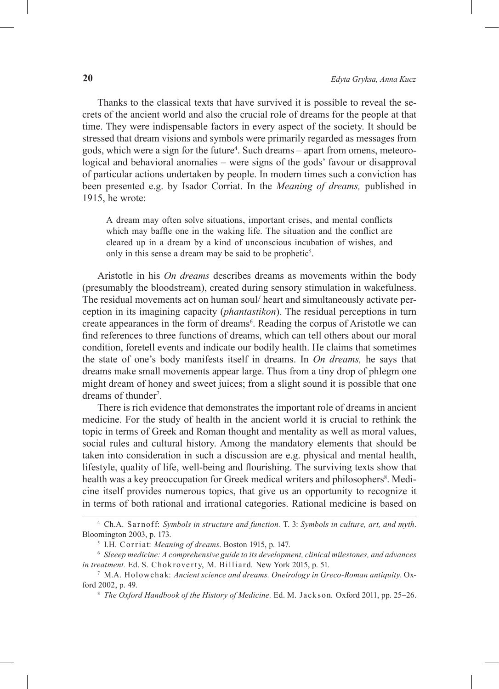Thanks to the classical texts that have survived it is possible to reveal the secrets of the ancient world and also the crucial role of dreams for the people at that time. They were indispensable factors in every aspect of the society. It should be stressed that dream visions and symbols were primarily regarded as messages from gods, which were a sign for the future<sup>4</sup>. Such dreams – apart from omens, meteorological and behavioral anomalies – were signs of the gods' favour or disapproval of particular actions undertaken by people. In modern times such a conviction has been presented e.g. by Isador Corriat. In the *Meaning of dreams,* published in 1915, he wrote:

A dream may often solve situations, important crises, and mental conflicts which may baffle one in the waking life. The situation and the conflict are cleared up in a dream by a kind of unconscious incubation of wishes, and only in this sense a dream may be said to be prophetic<sup>5</sup>.

Aristotle in his *On dreams* describes dreams as movements within the body (presumably the bloodstream), created during sensory stimulation in wakefulness. The residual movements act on human soul/ heart and simultaneously activate per‑ ception in its imagining capacity (*phantastikon*). The residual perceptions in turn create appearances in the form of dreams<sup>6</sup>. Reading the corpus of Aristotle we can find references to three functions of dreams, which can tell others about our moral condition, foretell events and indicate our bodily health. He claims that sometimes the state of one's body manifests itself in dreams. In *On dreams,* he says that dreams make small movements appear large. Thus from a tiny drop of phlegm one might dream of honey and sweet juices; from a slight sound it is possible that one dreams of thunder<sup>7</sup>.

There is rich evidence that demonstrates the important role of dreams in ancient medicine. For the study of health in the ancient world it is crucial to rethink the topic in terms of Greek and Roman thought and mentality as well as moral values, social rules and cultural history. Among the mandatory elements that should be taken into consideration in such a discussion are e.g. physical and mental health, lifestyle, quality of life, well-being and flourishing. The surviving texts show that health was a key preoccupation for Greek medical writers and philosophers<sup>8</sup>. Medicine itself provides numerous topics, that give us an opportunity to recognize it in terms of both rational and irrational categories. Rational medicine is based on

<sup>4</sup> Ch.A. Sar noff: *Symbols in structure and function.* T. 3: *Symbols in culture, art, and myth*. Bloomington 2003, p. 173.

<sup>5</sup> I.H. Cor r iat: *Meaning of dreams*. Boston 1915, p. 147. 6 *Sleeep medicine: A comprehensive guide to its development, clinical milestones, and advances in treatment.* Ed. S. Chokroverty, M. Billiard. New York 2015, p. 51.

<sup>7</sup> M.A. Holowcha k: *Ancient science and dreams. Oneirology in Greco-Roman antiquity*. Ox‑ ford 2002, p. 49.

<sup>8</sup> *The Oxford Handbook of the History of Medicine.* Ed. M. Jackson. Oxford 2011, pp. 25–26.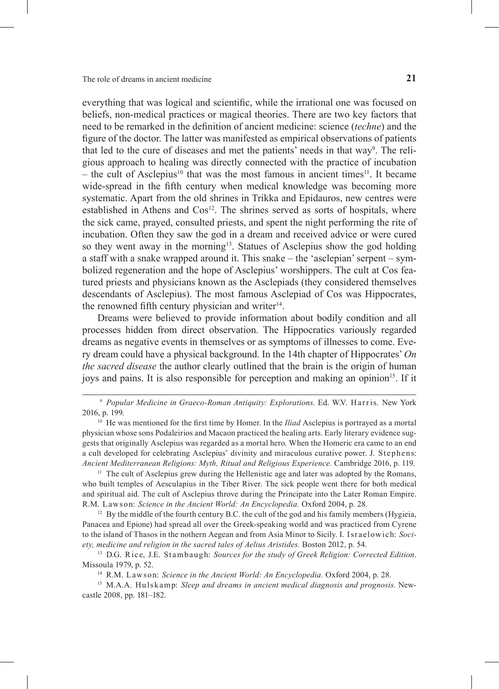everything that was logical and scientific, while the irrational one was focused on beliefs, non-medical practices or magical theories. There are two key factors that need to be remarked in the definition of ancient medicine: science (*techne*) and the figure of the doctor. The latter was manifested as empirical observations of patients that led to the cure of diseases and met the patients' needs in that way<sup>9</sup>. The religious approach to healing was directly connected with the practice of incubation – the cult of Asclepius<sup>10</sup> that was the most famous in ancient times<sup>11</sup>. It became wide-spread in the fifth century when medical knowledge was becoming more systematic. Apart from the old shrines in Trikka and Epidauros, new centres were established in Athens and  $\cos^{12}$ . The shrines served as sorts of hospitals, where the sick came, prayed, consulted priests, and spent the night performing the rite of incubation. Often they saw the god in a dream and received advice or were cured so they went away in the morning<sup>13</sup>. Statues of Asclepius show the god holding a staff with a snake wrapped around it. This snake – the 'asclepian' serpent – symbolized regeneration and the hope of Asclepius' worshippers. The cult at Cos featured priests and physicians known as the Asclepiads (they considered themselves descendants of Asclepius). The most famous Asclepiad of Cos was Hippocrates, the renowned fifth century physician and writer<sup>14</sup>.

Dreams were believed to provide information about bodily condition and all processes hidden from direct observation. The Hippocratics variously regarded dreams as negative events in themselves or as symptoms of illnesses to come. Every dream could have a physical background. In the 14th chapter of Hippocrates' *On the sacred disease* the author clearly outlined that the brain is the origin of human joys and pains. It is also responsible for perception and making an opinion<sup>15</sup>. If it

 $<sup>11</sup>$  The cult of Asclepius grew during the Hellenistic age and later was adopted by the Romans,</sup> who built temples of Aesculapius in the Tiber River. The sick people went there for both medical and spiritual aid. The cult of Asclepius throve during the Principate into the Later Roman Empire. R.M. Lawson: *Science in the Ancient World: An Encyclopedia.* Oxford 2004, p. 28.

<sup>12</sup> By the middle of the fourth century B.C. the cult of the god and his family members (Hygieia, Panacea and Epione) had spread all over the Greek-speaking world and was practiced from Cyrene to the island of Thasos in the nothern Aegean and from Asia Minor to Sicily. I. Israelowich: *Society, medicine and religion in the sacred tales of Aelius Aristides.* Boston 2012, p. 54. <sup>13</sup> D.G. Rice, J.E. Stambaugh: *Sources for the study of Greek Religion: Corrected Edition.* 

Missoula 1979, p. 52.

<sup>14</sup> R.M. Lawson: *Science in the Ancient World: An Encyclopedia*. Oxford 2004, p. 28.<br><sup>15</sup> M.A.A. Hulskamp: *Sleep and dreams in ancient medical diagnosis and prognosis*. New–

castle 2008, pp. 181–182.

<sup>&</sup>lt;sup>9</sup> Popular Medicine in Graeco-Roman Antiquity: Explorations. Ed. W.V. Harris. New York 2016, p. 199.

<sup>10</sup> He was mentioned for the first time by Homer. In the *Iliad* Asclepius is portrayed as a mortal physician whose sons Podaleirios and Macaon practiced the healing arts. Early literary evidence suggests that originally Asclepius was regarded as a mortal hero. When the Homeric era came to an end a cult developed for celebrating Asclepius' divinity and miraculous curative power. J. Stephens: *Ancient Mediterranean Religions: Myth, Ritual and Religious Experience.* Cambridge 2016, p. 119.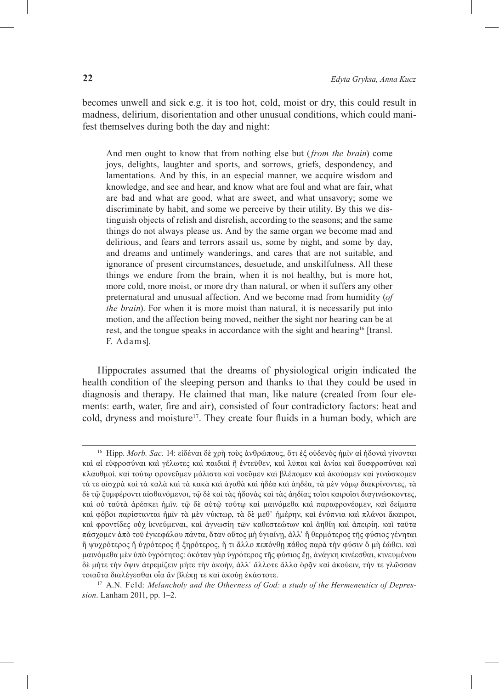becomes unwell and sick e.g. it is too hot, cold, moist or dry, this could result in madness, delirium, disorientation and other unusual conditions, which could mani– fest themselves during both the day and night:

And men ought to know that from nothing else but (*from the brain*) come joys, delights, laughter and sports, and sorrows, griefs, despondency, and lamentations. And by this, in an especial manner, we acquire wisdom and knowledge, and see and hear, and know what are foul and what are fair, what are bad and what are good, what are sweet, and what unsavory; some we discriminate by habit, and some we perceive by their utility. By this we distinguish objects of relish and disrelish, according to the seasons; and the same things do not always please us. And by the same organ we become mad and delirious, and fears and terrors assail us, some by night, and some by day, and dreams and untimely wanderings, and cares that are not suitable, and ignorance of present circumstances, desuetude, and unskilfulness. All these things we endure from the brain, when it is not healthy, but is more hot, more cold, more moist, or more dry than natural, or when it suffers any other preternatural and unusual affection. And we become mad from humidity (*of the brain*). For when it is more moist than natural, it is necessarily put into motion, and the affection being moved, neither the sight nor hearing can be at rest, and the tongue speaks in accordance with the sight and hearing<sup>16</sup> [transl.] F. Adams].

Hippocrates assumed that the dreams of physiological origin indicated the health condition of the sleeping person and thanks to that they could be used in diagnosis and therapy. He claimed that man, like nature (created from four ele‑ ments: earth, water, fire and air), consisted of four contradictory factors: heat and cold, dryness and moisture<sup>17</sup>. They create four fluids in a human body, which are

*sion*. Lanham 2011, pp. 1–2.

<sup>16</sup> Hipp. *Morb. Sac.* 14: εἰδέναι δὲ χρὴ τοὺς ἀνθρώπους, ὅτι ἐξ οὐδενὸς ἡμῖν αἱ ἡδοναὶ γίνονται καὶ αἱ εὐφροσύναι καὶ γέλωτες καὶ παιδιαὶ ἢ ἐντεῦθεν, καὶ λῦπαι καὶ ἀνίαι καὶ δυσφροσύναι καὶ κλαυθμοί. καὶ τούτῳ φρονεῦμεν μάλιστα καὶ νοεῦμεν καὶ βλέπομεν καὶ ἀκούομεν καὶ γινώσκομεν τά τε αἰσχρὰ καὶ τὰ καλὰ καὶ τὰ κακὰ καὶ ἀγαθὰ καὶ ἡδέα καὶ ἀηδέα, τὰ μὲν νόμῳ διακρίνοντες, τὰ δὲ τῷ ξυμφέροντι αἰσθανόμενοι, τῷ δὲ καὶ τὰς ἡδονὰς καὶ τὰς ἀηδίας τοῖσι καιροῖσι διαγινώσκοντες, καὶ οὐ ταὐτὰ ἀρέσκει ἡμῖν. τῷ δὲ αὐτῷ τούτῳ καὶ μαινόμεθα καὶ παραφρονέομεν, καὶ δείματα καὶ φόβοι παρίστανται ἡμῖν τὰ μὲν νύκτωρ, τὰ δὲ μεθ᾽ ἡμέρην, καὶ ἐνύπνια καὶ πλάνοι ἄκαιροι, καὶ φροντίδες οὐχ ἱκνεύμεναι, καὶ ἀγνωσίη τῶν καθεστεώτων καὶ ἀηθίη καὶ ἀπειρίη. καὶ ταῦτα πάσχομεν ἀπὸ τοῦ ἐγκεφάλου πάντα, ὅταν οὕτος μὴ ὑγιαίνῃ, ἀλλ᾽ ἢ θερμότερος τῆς φύσιος γένηται ἢ ψυχρότερος ἢ ὑγρότερος ἢ ξηρότερος, ἤ τι ἄλλο πεπόνθῃ πάθος παρὰ τὴν φύσιν ὃ μὴ ἐώθει. καὶ μαινόμεθα μὲν ὑπὸ ὑγρότητος: ὁκόταν γὰρ ὑγρότερος τῆς φύσιος ἔῃ, ἀνάγκη κινέεσθαι, κινευμένου δὲ μήτε τὴν ὄψιν ἀτρεμίζειν μήτε τὴν ἀκοὴν, ἀλλ' ἄλλοτε ἄλλο ὁρᾶν καὶ ἀκούειν, τήν τε γλῶσσαν τοιαῦτα διαλέγεσθαι οἷα ἂν βλέπῃ τε κα<sup>ὶ</sup> <sup>ἀ</sup>κού<sup>ῃ</sup> <sup>ἑ</sup>κάστοτε. 17 A.N. Feld: *Melancholy and the Otherness of God: a study of the Hermeneutics of Depres-*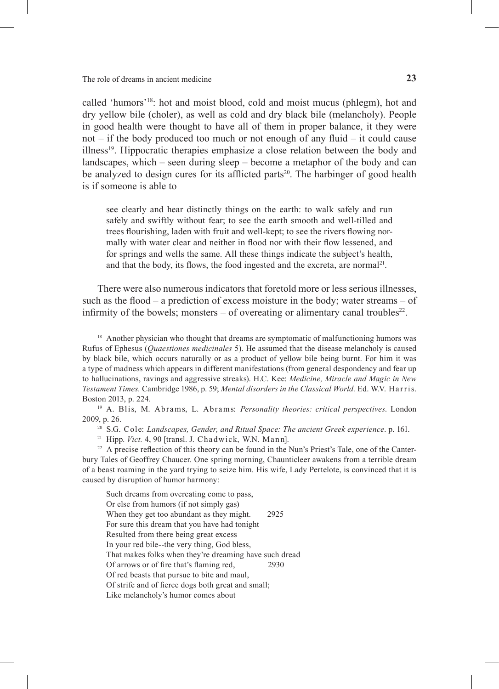called 'humors'18: hot and moist blood, cold and moist mucus (phlegm), hot and dry yellow bile (choler), as well as cold and dry black bile (melancholy). People in good health were thought to have all of them in proper balance, it they were not – if the body produced too much or not enough of any fluid – it could cause illness19. Hippocratic therapies emphasize a close relation between the body and landscapes, which – seen during sleep – become a metaphor of the body and can be analyzed to design cures for its afflicted parts<sup>20</sup>. The harbinger of good health is if someone is able to

see clearly and hear distinctly things on the earth: to walk safely and run safely and swiftly without fear; to see the earth smooth and well-tilled and trees flourishing, laden with fruit and well-kept; to see the rivers flowing normally with water clear and neither in flood nor with their flow lessened, and for springs and wells the same. All these things indicate the subject's health, and that the body, its flows, the food ingested and the excreta, are normal<sup>21</sup>.

There were also numerous indicators that foretold more or less serious illnesses, such as the flood – a prediction of excess moisture in the body; water streams – of infirmity of the bowels; monsters  $-$  of overeating or alimentary canal troubles<sup>22</sup>.

<sup>20</sup> S.G. Cole: *Landscapes, Gender, and Ritual Space: The ancient Greek experience*. p. 161.

Such dreams from overeating come to pass, Or else from humors (if not simply gas) When they get too abundant as they might. 2925 For sure this dream that you have had tonight Resulted from there being great excess In your red bile--the very thing, God bless, That makes folks when they're dreaming have such dread Of arrows or of fire that's flaming red, 2930 Of red beasts that pursue to bite and maul, Of strife and of fierce dogs both great and small; Like melancholy's humor comes about

<sup>&</sup>lt;sup>18</sup> Another physician who thought that dreams are symptomatic of malfunctioning humors was Rufus of Ephesus (*Quaestiones medicinales* 5). He assumed that the disease melancholy is caused by black bile, which occurs naturally or as a product of yellow bile being burnt. For him it was a type of madness which appears in different manifestations (from general despondency and fear up to hallucinations, ravings and aggressive streaks). H.C. Kee: *Medicine, Miracle and Magic in New Testament Times.* Cambridge 1986, p. 59; *Mental disorders in the Classical World.* Ed. W.V. Har r is. Boston 2013, p. 224. 19 A. Blis, M. Abrams, L. Abrams: *Personality theories: critical perspectives*. London

<sup>2009,</sup> p. 26.

<sup>&</sup>lt;sup>21</sup> Hipp. *Vict.* 4, 90 [transl. J. Chadwick, W.N. Mann].<br><sup>22</sup> A precise reflection of this theory can be found in the Nun's Priest's Tale, one of the Canter– bury Tales of Geoffrey Chaucer. One spring morning, Chaunticleer awakens from a terrible dream of a beast roaming in the yard trying to seize him. His wife, Lady Pertelote, is convinced that it is caused by disruption of humor harmony: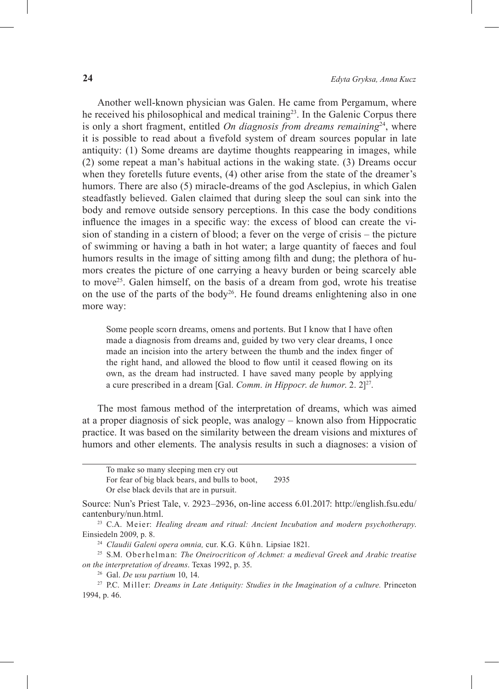Another well-known physician was Galen. He came from Pergamum, where he received his philosophical and medical training<sup>23</sup>. In the Galenic Corpus there is only a short fragment, entitled *On diagnosis from dreams remaining*<sup>24</sup>, where it is possible to read about a fivefold system of dream sources popular in late antiquity: (1) Some dreams are daytime thoughts reappearing in images, while (2) some repeat a man's habitual actions in the waking state. (3) Dreams occur when they foretells future events, (4) other arise from the state of the dreamer's humors. There are also (5) miracle-dreams of the god Asclepius, in which Galen steadfastly believed. Galen claimed that during sleep the soul can sink into the body and remove outside sensory perceptions. In this case the body conditions influence the images in a specific way: the excess of blood can create the vision of standing in a cistern of blood; a fever on the verge of crisis – the picture of swimming or having a bath in hot water; a large quantity of faeces and foul humors results in the image of sitting among filth and dung; the plethora of humors creates the picture of one carrying a heavy burden or being scarcely able to move<sup>25</sup>. Galen himself, on the basis of a dream from god, wrote his treatise on the use of the parts of the body<sup>26</sup>. He found dreams enlightening also in one more way:

Some people scorn dreams, omens and portents. But I know that I have often made a diagnosis from dreams and, guided by two very clear dreams, I once made an incision into the artery between the thumb and the index finger of the right hand, and allowed the blood to flow until it ceased flowing on its own, as the dream had instructed. I have saved many people by applying a cure prescribed in a dream [Gal. *Comm*. *in Hippocr*. *de humor*. 2. 2]27.

The most famous method of the interpretation of dreams, which was aimed at a proper diagnosis of sick people, was analogy – known also from Hippocratic practice. It was based on the similarity between the dream visions and mixtures of humors and other elements. The analysis results in such a diagnoses: a vision of

To make so many sleeping men cry out For fear of big black bears, and bulls to boot, 2935 Or else black devils that are in pursuit.

Source: Nun's Priest Tale, v. 2923–2936, on-line access 6.01.2017: http://english.fsu.edu/ cantenbury/nun.html. 23 C.A. Meier: *Healing dream and ritual: Ancient Incubation and modern psychotherapy*.

Einsiedeln 2009, p. 8.

<sup>&</sup>lt;sup>24</sup> Claudii Galeni opera omnia, cur. K.G. Kühn. Lipsiae 1821.

<sup>25</sup> S.M. Oberhel man: *The Oneirocriticon of Achmet: a medieval Greek and Arabic treatise on the interpretation of dreams*. Texas 1992, p. 35. 26 Gal. *De usu partium* 10, 14. 27 P.C. Miller: *Dreams in Late Antiquity: Studies in the Imagination of a culture.* Princeton

<sup>1994,</sup> p. 46.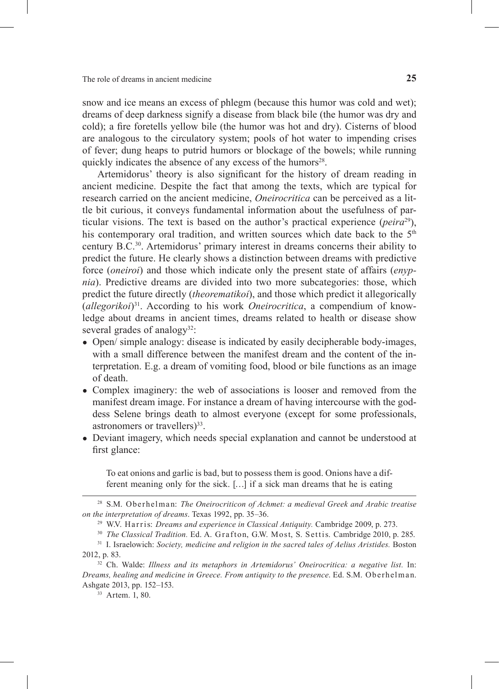snow and ice means an excess of phlegm (because this humor was cold and wet); dreams of deep darkness signify a disease from black bile (the humor was dry and cold); a fire foretells yellow bile (the humor was hot and dry). Cisterns of blood are analogous to the circulatory system; pools of hot water to impending crises of fever; dung heaps to putrid humors or blockage of the bowels; while running quickly indicates the absence of any excess of the humors<sup>28</sup>.

Artemidorus' theory is also significant for the history of dream reading in ancient medicine. Despite the fact that among the texts, which are typical for research carried on the ancient medicine, *Oneirocritica* can be perceived as a little bit curious, it conveys fundamental information about the usefulness of par‑ ticular visions. The text is based on the author's practical experience (*peira*29), his contemporary oral tradition, and written sources which date back to the  $5<sup>th</sup>$ century B.C.30. Artemidorus' primary interest in dreams concerns their ability to predict the future. He clearly shows a distinction between dreams with predictive force (*oneiroi*) and those which indicate only the present state of affairs (*enypnia*). Predictive dreams are divided into two more subcategories: those, which predict the future directly (*theorematikoi*), and those which predict it allegorically (*allegorikoi*)31. According to his work *Oneirocritica*, a compendium of knowledge about dreams in ancient times, dreams related to health or disease show several grades of analogy<sup>32</sup>:

- Open/ simple analogy: disease is indicated by easily decipherable body-images, with a small difference between the manifest dream and the content of the interpretation. E.g. a dream of vomiting food, blood or bile functions as an image of death.
- Complex imaginery: the web of associations is looser and removed from the manifest dream image. For instance a dream of having intercourse with the goddess Selene brings death to almost everyone (except for some professionals, astronomers or travellers $)^{33}$ .
- Deviant imagery, which needs special explanation and cannot be understood at first glance:

To eat onions and garlic is bad, but to possess them is good. Onions have a different meaning only for the sick. […] if a sick man dreams that he is eating

<sup>28</sup> S.M. Oberhel man: *The Oneirocriticon of Achmet: a medieval Greek and Arabic treatise on the interpretation of dreams*. Texas 1992, pp. 35–36.

<sup>&</sup>lt;sup>29</sup> W.V. Harris: *Dreams and experience in Classical Antiquity*. Cambridge 2009, p. 273.<br><sup>30</sup> *The Classical Tradition*. Ed. A. Grafton, G.W. Most, S. Settis. Cambridge 2010, p. 285.<br><sup>31</sup> I. Israelowich: *Society, medici* 

<sup>2012,</sup> p. 83.

<sup>32</sup> Ch. Walde: *Illness and its metaphors in Artemidorus' Oneirocritica: a negative list.* In: *Dreams, healing and medicine in Greece. From antiquity to the presence*. Ed. S.M. Oberhel man. Ashgate 2013, pp. 152–153.

<sup>33</sup> Artem. 1, 80.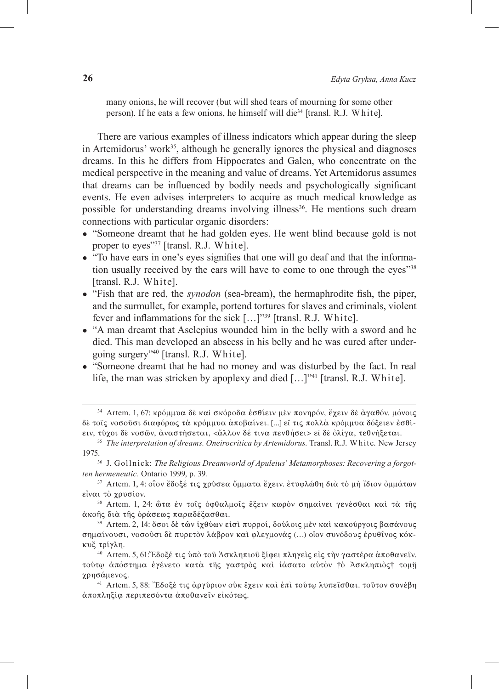many onions, he will recover (but will shed tears of mourning for some other person). If he eats a few onions, he himself will die34 [transl. R.J. W hite].

There are various examples of illness indicators which appear during the sleep in Artemidorus' work $35$ , although he generally ignores the physical and diagnoses dreams. In this he differs from Hippocrates and Galen, who concentrate on the medical perspective in the meaning and value of dreams. Yet Artemidorus assumes that dreams can be influenced by bodily needs and psychologically significant events. He even advises interpreters to acquire as much medical knowledge as possible for understanding dreams involving illness<sup>36</sup>. He mentions such dream connections with particular organic disorders:

- "Someone dreamt that he had golden eyes. He went blind because gold is not proper to eyes"<sup>37</sup> [transl. R.J. White].
- "To have ears in one's eyes signifies that one will go deaf and that the information usually received by the ears will have to come to one through the eyes<sup>"38</sup> [transl. R.J. White].
- "Fish that are red, the *synodon* (sea-bream), the hermaphrodite fish, the piper, and the surmullet, for example, portend tortures for slaves and criminals, violent fever and inflammations for the sick […]"39 [transl. R.J. White].
- "A man dreamt that Asclepius wounded him in the belly with a sword and he died. This man developed an abscess in his belly and he was cured after undergoing surgery"40 [transl. R.J. White].
- "Someone dreamt that he had no money and was disturbed by the fact. In real life, the man was stricken by apoplexy and died [...]"<sup>41</sup> [transl. R.J. White].

<sup>&</sup>lt;sup>34</sup> Artem. 1, 67: κρόμμυα δὲ καὶ σκόροδα ἐσθίειν μὲν πονηρόν, ἔχειν δὲ ἀγαθόν. μόνοις δέ τοις νοσούσι διαφόρως τὰ κρόμμυα ἀποβαίνει. [...] εἴ τις πολλὰ κρόμμυα δόξειεν ἐσθίειν, τύχοι δὲ νοσῶν, ἀναστήσεται, <ἄλλον δέ τινα πενθήσει> εἰ δὲ ὀλίγα, τεθνήξεται.

<sup>&</sup>lt;sup>35</sup> *The interpretation of dreams. Oneirocritica by Artemidorus.* Transl. R.J. White. New Jersey 1975. 36 J. Goll n ick: *The Religious Dreamworld of Apuleius' Metamorphoses: Recovering a forgot-*

*ten hermeneutic.* Ontario 1999, p. 39.<br><sup>37</sup> Artem. 1, 4: οἶον ἔδοξέ τις χρύσεα ὄμματα ἔχειν. ἐτυφλώθη διὰ τὸ μὴ ἴδιον ὀμμάτων

eἶναι τὸ χρυσίον.<br><sup>38</sup> Artem. 1, 24: ὦτα ἐν τοῖς ὀφθαλμοῖς ἔξειν κωρὸν σημαίνει γενέσθαι καὶ τὰ τῆς

ἀκοῆς διὰ τῆς ὁράσεως παραδέξασθαι.<br><sup>39</sup> Artem. 2, 14: ὅσοι δὲ τῶν ἰχθύων εἰσὶ πυρροί, δούλοις μὲν καὶ κακούργοις βασάνους

σημαίνουσι, νοσοῦσι δὲ πυρετὸν λάβρον καὶ φλεγμονάς (...) οἶον συνόδους ἐρυθῖνος κόκκυξ τρίγλη.

<sup>40</sup> Artem. 5, 61: Έδοξέ τις ύπό του Άσκληπιου ξίφει πληγείς είς την γαστέρα άποθανείν. τούτω απόστημα έγένετο κατα της γαστρος και ιάσατο αυτον †ο Ασκληπιος† τομη γρησάμενος.

<sup>&</sup>lt;sup>41</sup> Artem. 5, 88: "Εδοξέ τις άργύριον οὐκ ἔχειν καὶ ἐπὶ τούτω λυπεισθαι. τοῦτον συνέβη άποπληξία περιπεσόντα άποθανεΐν είκότως.